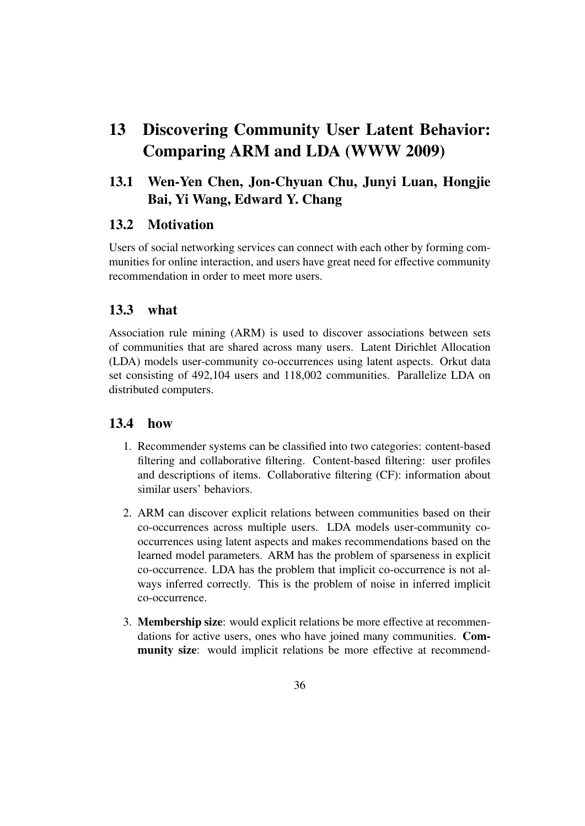# 13 Discovering Community User Latent Behavior: Comparing ARM and LDA (WWW 2009)

## 13.1 Wen-Yen Chen, Jon-Chyuan Chu, Junyi Luan, Hongjie Bai, Yi Wang, Edward Y. Chang

#### 13.2 Motivation

Users of social networking services can connect with each other by forming communities for online interaction, and users have great need for effective community recommendation in order to meet more users.

### 13.3 what

Association rule mining (ARM) is used to discover associations between sets of communities that are shared across many users. Latent Dirichlet Allocation (LDA) models user-community co-occurrences using latent aspects. Orkut data set consisting of 492,104 users and 118,002 communities. Parallelize LDA on distributed computers.

#### 13.4 how

- 1. Recommender systems can be classified into two categories: content-based filtering and collaborative filtering. Content-based filtering: user profiles and descriptions of items. Collaborative filtering (CF): information about similar users' behaviors.
- 2. ARM can discover explicit relations between communities based on their co-occurrences across multiple users. LDA models user-community cooccurrences using latent aspects and makes recommendations based on the learned model parameters. ARM has the problem of sparseness in explicit co-occurrence. LDA has the problem that implicit co-occurrence is not always inferred correctly. This is the problem of noise in inferred implicit co-occurrence.
- 3. Membership size: would explicit relations be more effective at recommendations for active users, ones who have joined many communities. Community size: would implicit relations be more effective at recommend-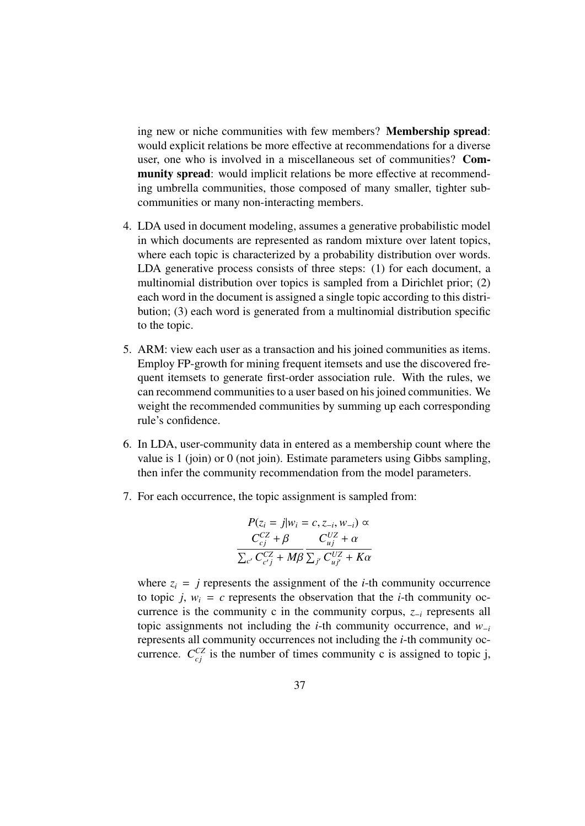ing new or niche communities with few members? Membership spread: would explicit relations be more effective at recommendations for a diverse user, one who is involved in a miscellaneous set of communities? Community spread: would implicit relations be more effective at recommending umbrella communities, those composed of many smaller, tighter subcommunities or many non-interacting members.

- 4. LDA used in document modeling, assumes a generative probabilistic model in which documents are represented as random mixture over latent topics, where each topic is characterized by a probability distribution over words. LDA generative process consists of three steps: (1) for each document, a multinomial distribution over topics is sampled from a Dirichlet prior; (2) each word in the document is assigned a single topic according to this distribution; (3) each word is generated from a multinomial distribution specific to the topic.
- 5. ARM: view each user as a transaction and his joined communities as items. Employ FP-growth for mining frequent itemsets and use the discovered frequent itemsets to generate first-order association rule. With the rules, we can recommend communities to a user based on his joined communities. We weight the recommended communities by summing up each corresponding rule's confidence.
- 6. In LDA, user-community data in entered as a membership count where the value is 1 (join) or 0 (not join). Estimate parameters using Gibbs sampling, then infer the community recommendation from the model parameters.
- 7. For each occurrence, the topic assignment is sampled from:

$$
P(z_i = j|w_i = c, z_{-i}, w_{-i}) \propto
$$
  
\n
$$
\frac{C_{cj}^{CZ} + \beta}{\sum_{c'} C_{c'j}^{CZ} + M\beta} \frac{C_{uj}^{UZ} + \alpha}{\sum_{j'} C_{uj'}^{UZ} + K\alpha}
$$

where  $z_i = j$  represents the assignment of the *i*-th community occurrence to topic *j*,  $w_i = c$  represents the observation that the *i*-th community occurrence is the community c in the community corpus, *z*−*<sup>i</sup>* represents all topic assignments not including the *i*-th community occurrence, and *w*−*<sup>i</sup>* represents all community occurrences not including the *i*-th community occurrence.  $C_{cj}^{CZ}$  is the number of times community c is assigned to topic j,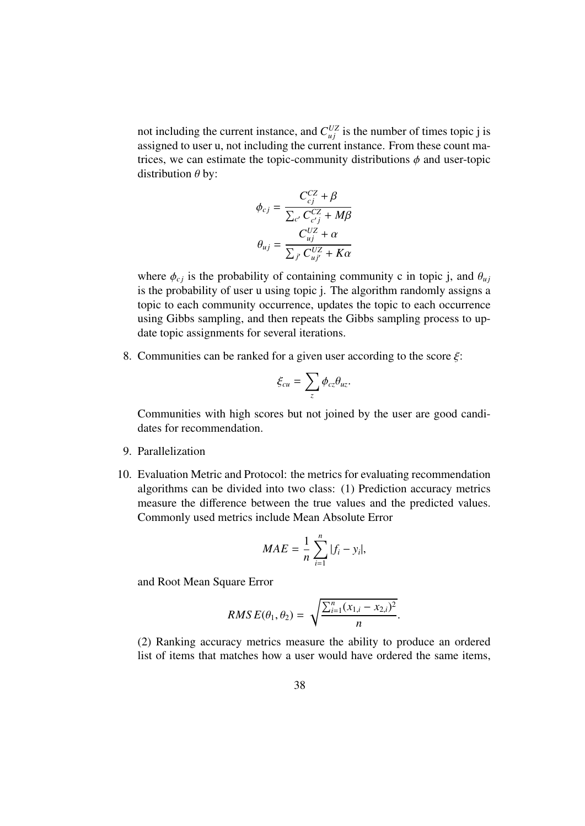not including the current instance, and  $C_{uj}^{UZ}$  is the number of times topic j is assigned to user u, not including the current instance. From these count matrices, we can estimate the topic-community distributions  $\phi$  and user-topic distribution  $\theta$  by:

$$
\phi_{cj} = \frac{C_{cj}^{CZ} + \beta}{\sum_{c'} C_{c'j}^{CZ} + M\beta}
$$

$$
\theta_{uj} = \frac{C_{uj}^{UZ} + \alpha}{\sum_{j'} C_{uj'}^{UZ} + K\alpha}
$$

where  $\phi_{cj}$  is the probability of containing community c in topic j, and  $\theta_{uj}$ is the probability of user u using topic j. The algorithm randomly assigns a topic to each community occurrence, updates the topic to each occurrence using Gibbs sampling, and then repeats the Gibbs sampling process to update topic assignments for several iterations.

8. Communities can be ranked for a given user according to the score  $\xi$ :

$$
\xi_{cu}=\sum_{z}\phi_{cz}\theta_{uz}.
$$

Communities with high scores but not joined by the user are good candidates for recommendation.

- 9. Parallelization
- 10. Evaluation Metric and Protocol: the metrics for evaluating recommendation algorithms can be divided into two class: (1) Prediction accuracy metrics measure the difference between the true values and the predicted values. Commonly used metrics include Mean Absolute Error

$$
MAE = \frac{1}{n} \sum_{i=1}^{n} |f_i - y_i|,
$$

and Root Mean Square Error

$$
RMS E(\theta_1, \theta_2) = \sqrt{\frac{\sum_{i=1}^{n} (x_{1,i} - x_{2,i})^2}{n}}.
$$

(2) Ranking accuracy metrics measure the ability to produce an ordered list of items that matches how a user would have ordered the same items,